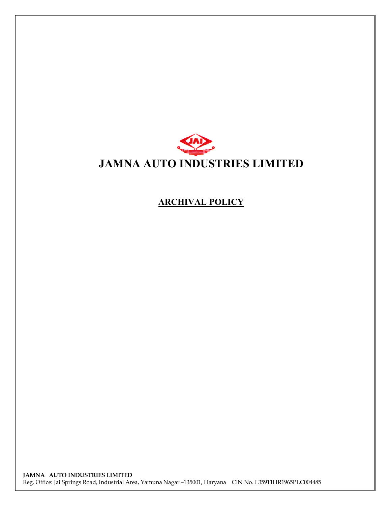

## **ARCHIVAL POLICY**